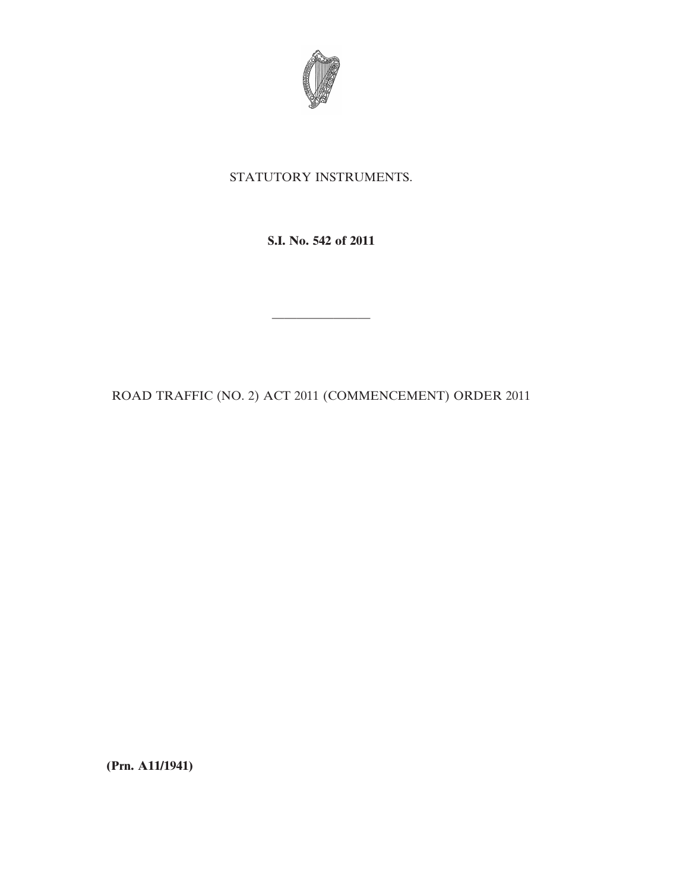

## STATUTORY INSTRUMENTS.

**S.I. No. 542 of 2011**

ROAD TRAFFIC (NO. 2) ACT 2011 (COMMENCEMENT) ORDER 2011

————————

**(Prn. A11/1941)**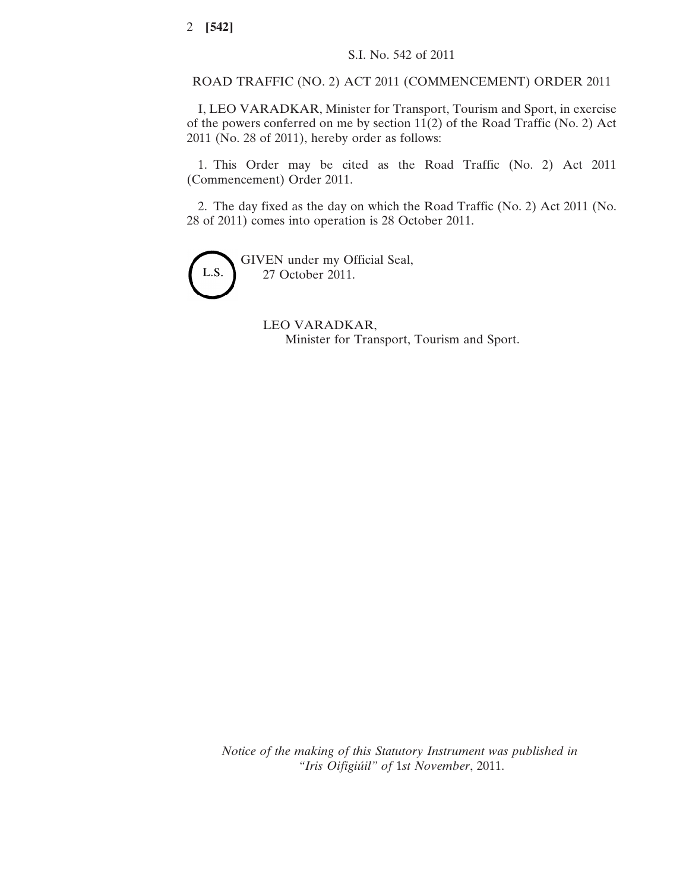ROAD TRAFFIC (NO. 2) ACT 2011 (COMMENCEMENT) ORDER 2011

I, LEO VARADKAR, Minister for Transport, Tourism and Sport, in exercise of the powers conferred on me by section 11(2) of the Road Traffic (No. 2) Act 2011 (No. 28 of 2011), hereby order as follows:

1. This Order may be cited as the Road Traffic (No. 2) Act 2011 (Commencement) Order 2011.

2. The day fixed as the day on which the Road Traffic (No. 2) Act 2011 (No. 28 of 2011) comes into operation is 28 October 2011.



GIVEN under my Official Seal, 27 October 2011.

> LEO VARADKAR, Minister for Transport, Tourism and Sport.

*Notice of the making of this Statutory Instrument was published in "Iris Oifigiúil" of* 1*st November*, 2011.